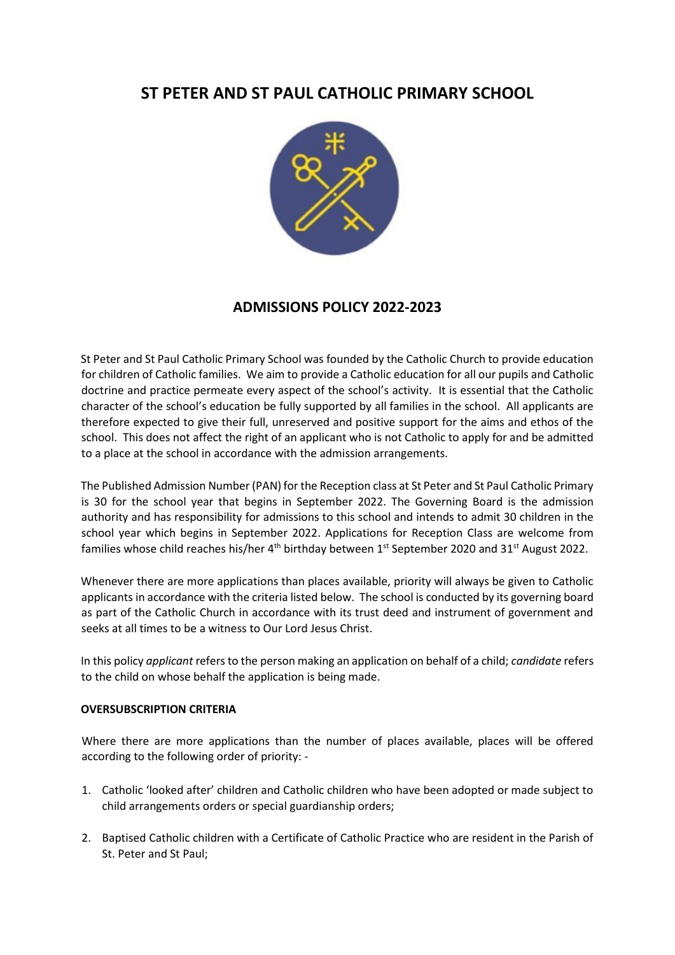# **ST PETER AND ST PAUL CATHOLIC PRIMARY SCHOOL**



## **ADMISSIONS POLICY 2022-2023**

St Peter and St Paul Catholic Primary School was founded by the Catholic Church to provide education for children of Catholic families. We aim to provide a Catholic education for all our pupils and Catholic doctrine and practice permeate every aspect of the school's activity. It is essential that the Catholic character of the school's education be fully supported by all families in the school. All applicants are therefore expected to give their full, unreserved and positive support for the aims and ethos of the school. This does not affect the right of an applicant who is not Catholic to apply for and be admitted to a place at the school in accordance with the admission arrangements.

The Published Admission Number (PAN) for the Reception class at St Peter and St Paul Catholic Primary is 30 for the school year that begins in September 2022. The Governing Board is the admission authority and has responsibility for admissions to this school and intends to admit 30 children in the school year which begins in September 2022. Applications for Reception Class are welcome from families whose child reaches his/her  $4<sup>th</sup>$  birthday between  $1<sup>st</sup>$  September 2020 and 31<sup>st</sup> August 2022.

Whenever there are more applications than places available, priority will always be given to Catholic applicants in accordance with the criteria listed below. The school is conducted by its governing board as part of the Catholic Church in accordance with its trust deed and instrument of government and seeks at all times to be a witness to Our Lord Jesus Christ.

In this policy *applicant* refers to the person making an application on behalf of a child; *candidate* refers to the child on whose behalf the application is being made.

### **OVERSUBSCRIPTION CRITERIA**

Where there are more applications than the number of places available, places will be offered according to the following order of priority: -

- 1. Catholic 'looked after' children and Catholic children who have been adopted or made subject to child arrangements orders or special guardianship orders;
- 2. Baptised Catholic children with a Certificate of Catholic Practice who are resident in the Parish of St. Peter and St Paul;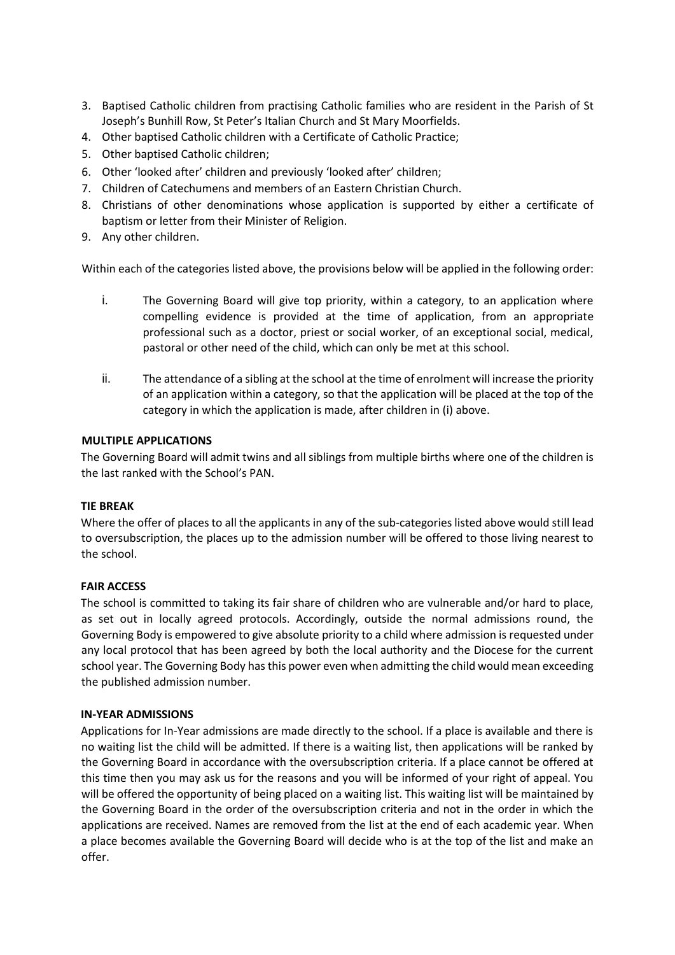- 3. Baptised Catholic children from practising Catholic families who are resident in the Parish of St Joseph's Bunhill Row, St Peter's Italian Church and St Mary Moorfields.
- 4. Other baptised Catholic children with a Certificate of Catholic Practice;
- 5. Other baptised Catholic children;
- 6. Other 'looked after' children and previously 'looked after' children;
- 7. Children of Catechumens and members of an Eastern Christian Church.
- 8. Christians of other denominations whose application is supported by either a certificate of baptism or letter from their Minister of Religion.
- 9. Any other children.

Within each of the categories listed above, the provisions below will be applied in the following order:

- i. The Governing Board will give top priority, within a category, to an application where compelling evidence is provided at the time of application, from an appropriate professional such as a doctor, priest or social worker, of an exceptional social, medical, pastoral or other need of the child, which can only be met at this school.
- ii. The attendance of a sibling at the school at the time of enrolment will increase the priority of an application within a category, so that the application will be placed at the top of the category in which the application is made, after children in (i) above.

### **MULTIPLE APPLICATIONS**

The Governing Board will admit twins and all siblings from multiple births where one of the children is the last ranked with the School's PAN.

### **TIE BREAK**

Where the offer of places to all the applicants in any of the sub-categories listed above would still lead to oversubscription, the places up to the admission number will be offered to those living nearest to the school.

### **FAIR ACCESS**

The school is committed to taking its fair share of children who are vulnerable and/or hard to place, as set out in locally agreed protocols. Accordingly, outside the normal admissions round, the Governing Body is empowered to give absolute priority to a child where admission is requested under any local protocol that has been agreed by both the local authority and the Diocese for the current school year. The Governing Body has this power even when admitting the child would mean exceeding the published admission number.

### **IN-YEAR ADMISSIONS**

Applications for In-Year admissions are made directly to the school. If a place is available and there is no waiting list the child will be admitted. If there is a waiting list, then applications will be ranked by the Governing Board in accordance with the oversubscription criteria. If a place cannot be offered at this time then you may ask us for the reasons and you will be informed of your right of appeal. You will be offered the opportunity of being placed on a waiting list. This waiting list will be maintained by the Governing Board in the order of the oversubscription criteria and not in the order in which the applications are received. Names are removed from the list at the end of each academic year. When a place becomes available the Governing Board will decide who is at the top of the list and make an offer.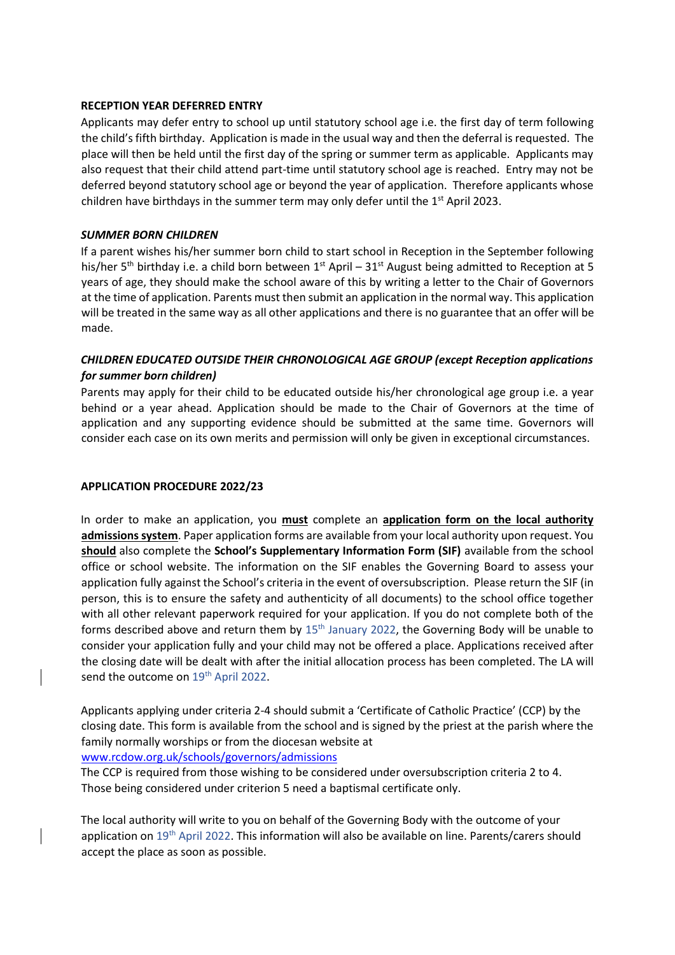### **RECEPTION YEAR DEFERRED ENTRY**

Applicants may defer entry to school up until statutory school age i.e. the first day of term following the child's fifth birthday. Application is made in the usual way and then the deferral is requested. The place will then be held until the first day of the spring or summer term as applicable. Applicants may also request that their child attend part-time until statutory school age is reached. Entry may not be deferred beyond statutory school age or beyond the year of application. Therefore applicants whose children have birthdays in the summer term may only defer until the  $1<sup>st</sup>$  April 2023.

### *SUMMER BORN CHILDREN*

If a parent wishes his/her summer born child to start school in Reception in the September following his/her 5<sup>th</sup> birthday i.e. a child born between 1<sup>st</sup> April – 31<sup>st</sup> August being admitted to Reception at 5 years of age, they should make the school aware of this by writing a letter to the Chair of Governors at the time of application. Parents must then submit an application in the normal way. This application will be treated in the same way as all other applications and there is no guarantee that an offer will be made.

### *CHILDREN EDUCATED OUTSIDE THEIR CHRONOLOGICAL AGE GROUP (except Reception applications for summer born children)*

Parents may apply for their child to be educated outside his/her chronological age group i.e. a year behind or a year ahead. Application should be made to the Chair of Governors at the time of application and any supporting evidence should be submitted at the same time. Governors will consider each case on its own merits and permission will only be given in exceptional circumstances.

### **APPLICATION PROCEDURE 2022/23**

In order to make an application, you **must** complete an **application form on the local authority admissions system**. Paper application forms are available from your local authority upon request. You **should** also complete the **School's Supplementary Information Form (SIF)** available from the school office or school website. The information on the SIF enables the Governing Board to assess your application fully against the School's criteria in the event of oversubscription. Please return the SIF (in person, this is to ensure the safety and authenticity of all documents) to the school office together with all other relevant paperwork required for your application. If you do not complete both of the forms described above and return them by  $15<sup>th</sup>$  January 2022, the Governing Body will be unable to consider your application fully and your child may not be offered a place. Applications received after the closing date will be dealt with after the initial allocation process has been completed. The LA will send the outcome on 19<sup>th</sup> April 2022.

Applicants applying under criteria 2-4 should submit a 'Certificate of Catholic Practice' (CCP) by the closing date. This form is available from the school and is signed by the priest at the parish where the family normally worships or from the diocesan website at

[www.rcdow.org.uk/schools/governors/admissions](http://www.rcdow.org.uk/schools/governors/admissions)

The CCP is required from those wishing to be considered under oversubscription criteria 2 to 4. Those being considered under criterion 5 need a baptismal certificate only.

The local authority will write to you on behalf of the Governing Body with the outcome of your application on 19<sup>th</sup> April 2022. This information will also be available on line. Parents/carers should accept the place as soon as possible.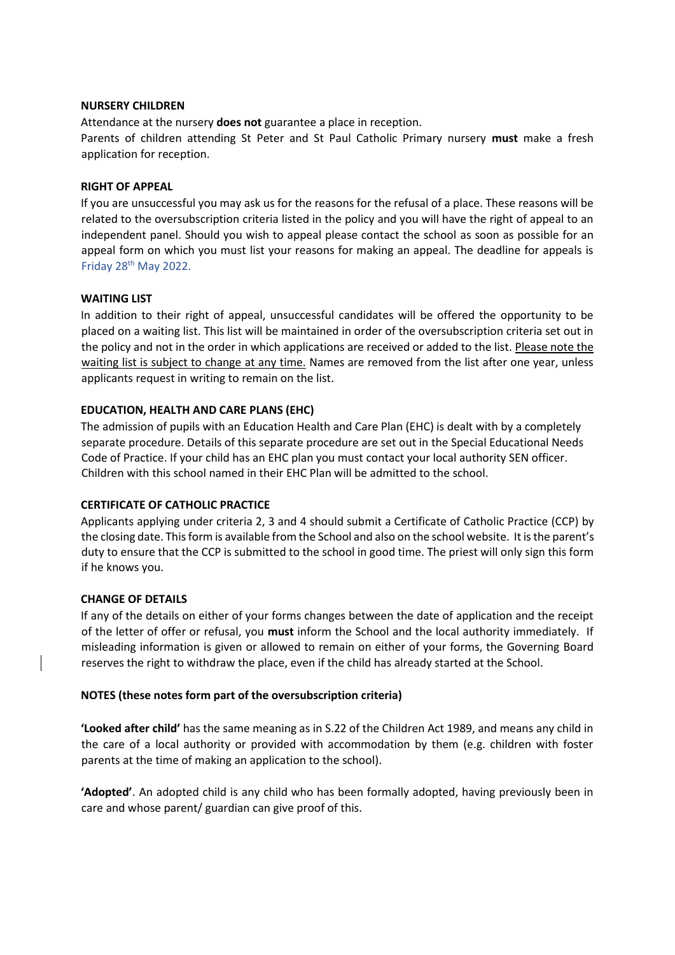### **NURSERY CHILDREN**

Attendance at the nursery **does not** guarantee a place in reception.

Parents of children attending St Peter and St Paul Catholic Primary nursery **must** make a fresh application for reception.

### **RIGHT OF APPEAL**

If you are unsuccessful you may ask us for the reasons for the refusal of a place. These reasons will be related to the oversubscription criteria listed in the policy and you will have the right of appeal to an independent panel. Should you wish to appeal please contact the school as soon as possible for an appeal form on which you must list your reasons for making an appeal. The deadline for appeals is Friday 28<sup>th</sup> May 2022.

### **WAITING LIST**

In addition to their right of appeal, unsuccessful candidates will be offered the opportunity to be placed on a waiting list. This list will be maintained in order of the oversubscription criteria set out in the policy and not in the order in which applications are received or added to the list. Please note the waiting list is subject to change at any time. Names are removed from the list after one year, unless applicants request in writing to remain on the list.

### **EDUCATION, HEALTH AND CARE PLANS (EHC)**

The admission of pupils with an Education Health and Care Plan (EHC) is dealt with by a completely separate procedure. Details of this separate procedure are set out in the Special Educational Needs Code of Practice. If your child has an EHC plan you must contact your local authority SEN officer. Children with this school named in their EHC Plan will be admitted to the school.

### **CERTIFICATE OF CATHOLIC PRACTICE**

Applicants applying under criteria 2, 3 and 4 should submit a Certificate of Catholic Practice (CCP) by the closing date. This form is available from the School and also on the school website. It is the parent's duty to ensure that the CCP is submitted to the school in good time. The priest will only sign this form if he knows you.

### **CHANGE OF DETAILS**

If any of the details on either of your forms changes between the date of application and the receipt of the letter of offer or refusal, you **must** inform the School and the local authority immediately. If misleading information is given or allowed to remain on either of your forms, the Governing Board reserves the right to withdraw the place, even if the child has already started at the School.

#### **NOTES (these notes form part of the oversubscription criteria)**

**'Looked after child'** has the same meaning as in S.22 of the Children Act 1989, and means any child in the care of a local authority or provided with accommodation by them (e.g. children with foster parents at the time of making an application to the school).

**'Adopted'**. An adopted child is any child who has been formally adopted, having previously been in care and whose parent/ guardian can give proof of this.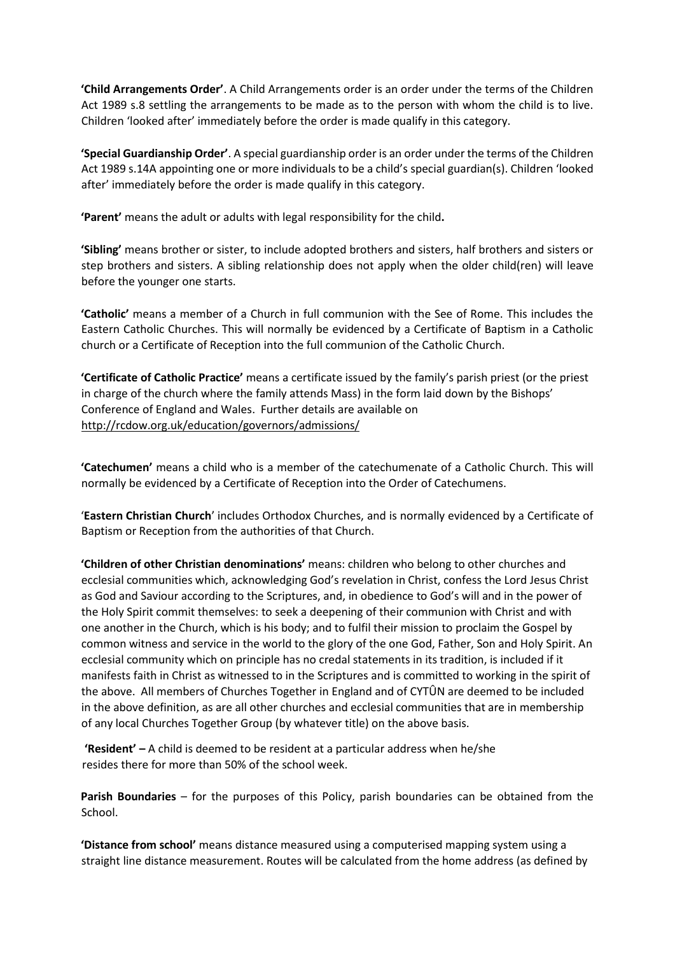**'Child Arrangements Order'**. A Child Arrangements order is an order under the terms of the Children Act 1989 s.8 settling the arrangements to be made as to the person with whom the child is to live. Children 'looked after' immediately before the order is made qualify in this category.

**'Special Guardianship Order'**. A special guardianship order is an order under the terms of the Children Act 1989 s.14A appointing one or more individuals to be a child's special guardian(s). Children 'looked after' immediately before the order is made qualify in this category.

**'Parent'** means the adult or adults with legal responsibility for the child**.**

**'Sibling'** means brother or sister, to include adopted brothers and sisters, half brothers and sisters or step brothers and sisters. A sibling relationship does not apply when the older child(ren) will leave before the younger one starts.

**'Catholic'** means a member of a Church in full communion with the See of Rome. This includes the Eastern Catholic Churches. This will normally be evidenced by a Certificate of Baptism in a Catholic church or a Certificate of Reception into the full communion of the Catholic Church.

**'Certificate of Catholic Practice'** means a certificate issued by the family's parish priest (or the priest in charge of the church where the family attends Mass) in the form laid down by the Bishops' Conference of England and Wales. Further details are available on <http://rcdow.org.uk/education/governors/admissions/>

**'Catechumen'** means a child who is a member of the catechumenate of a Catholic Church. This will normally be evidenced by a Certificate of Reception into the Order of Catechumens.

'**Eastern Christian Church**' includes Orthodox Churches, and is normally evidenced by a Certificate of Baptism or Reception from the authorities of that Church.

**'Children of other Christian denominations'** means: children who belong to other churches and ecclesial communities which, acknowledging God's revelation in Christ, confess the Lord Jesus Christ as God and Saviour according to the Scriptures, and, in obedience to God's will and in the power of the Holy Spirit commit themselves: to seek a deepening of their communion with Christ and with one another in the Church, which is his body; and to fulfil their mission to proclaim the Gospel by common witness and service in the world to the glory of the one God, Father, Son and Holy Spirit. An ecclesial community which on principle has no credal statements in its tradition, is included if it manifests faith in Christ as witnessed to in the Scriptures and is committed to working in the spirit of the above. All members of Churches Together in England and of CYTÛN are deemed to be included in the above definition, as are all other churches and ecclesial communities that are in membership of any local Churches Together Group (by whatever title) on the above basis.

**'Resident' –** A child is deemed to be resident at a particular address when he/she resides there for more than 50% of the school week.

**Parish Boundaries** – for the purposes of this Policy, parish boundaries can be obtained from the School.

**'Distance from school'** means distance measured using a computerised mapping system using a straight line distance measurement. Routes will be calculated from the home address (as defined by